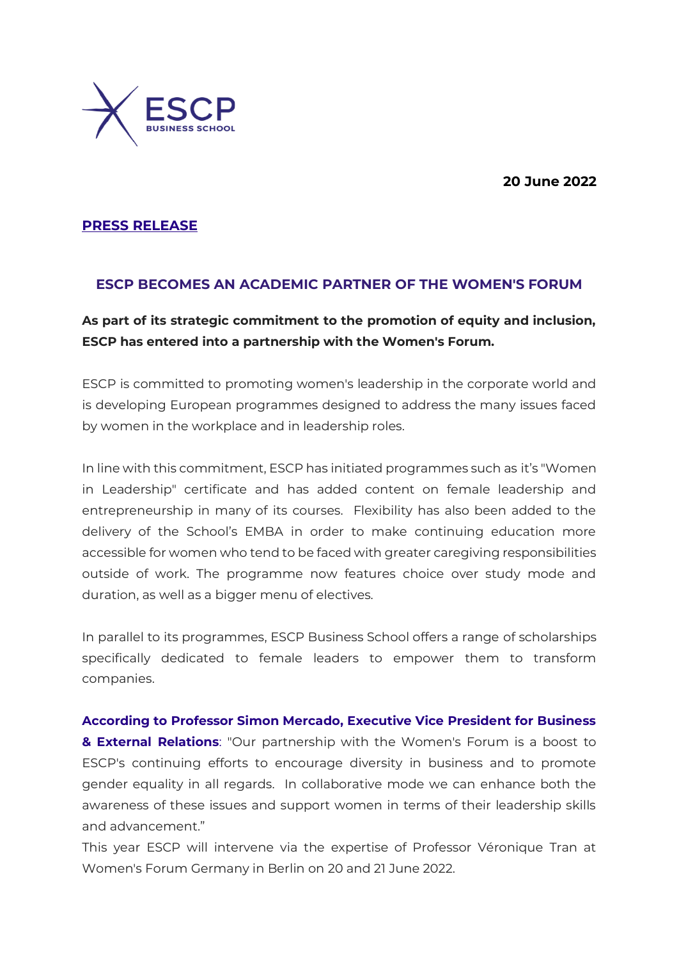**20 June 2022**



## **PRESS RELEASE**

## **ESCP BECOMES AN ACADEMIC PARTNER OF THE WOMEN'S FORUM**

# **As part of its strategic commitment to the promotion of equity and inclusion, ESCP has entered into a partnership with the Women's Forum.**

ESCP is committed to promoting women's leadership in the corporate world and is developing European programmes designed to address the many issues faced by women in the workplace and in leadership roles.

In line with this commitment, ESCP has initiated programmes such as it's "Women in Leadership" certificate and has added content on female leadership and entrepreneurship in many of its courses. Flexibility has also been added to the delivery of the School's EMBA in order to make continuing education more accessible for women who tend to be faced with greater caregiving responsibilities outside of work. The programme now features choice over study mode and duration, as well as a bigger menu of electives.

In parallel to its programmes, ESCP Business School offers a range of scholarships specifically dedicated to female leaders to empower them to transform companies.

**According to Professor Simon Mercado, Executive Vice President for Business & External Relations**: "Our partnership with the Women's Forum is a boost to ESCP's continuing efforts to encourage diversity in business and to promote gender equality in all regards. In collaborative mode we can enhance both the awareness of these issues and support women in terms of their leadership skills and advancement."

This year ESCP will intervene via the expertise of Professor Véronique Tran at Women's Forum Germany in Berlin on 20 and 21 June 2022.